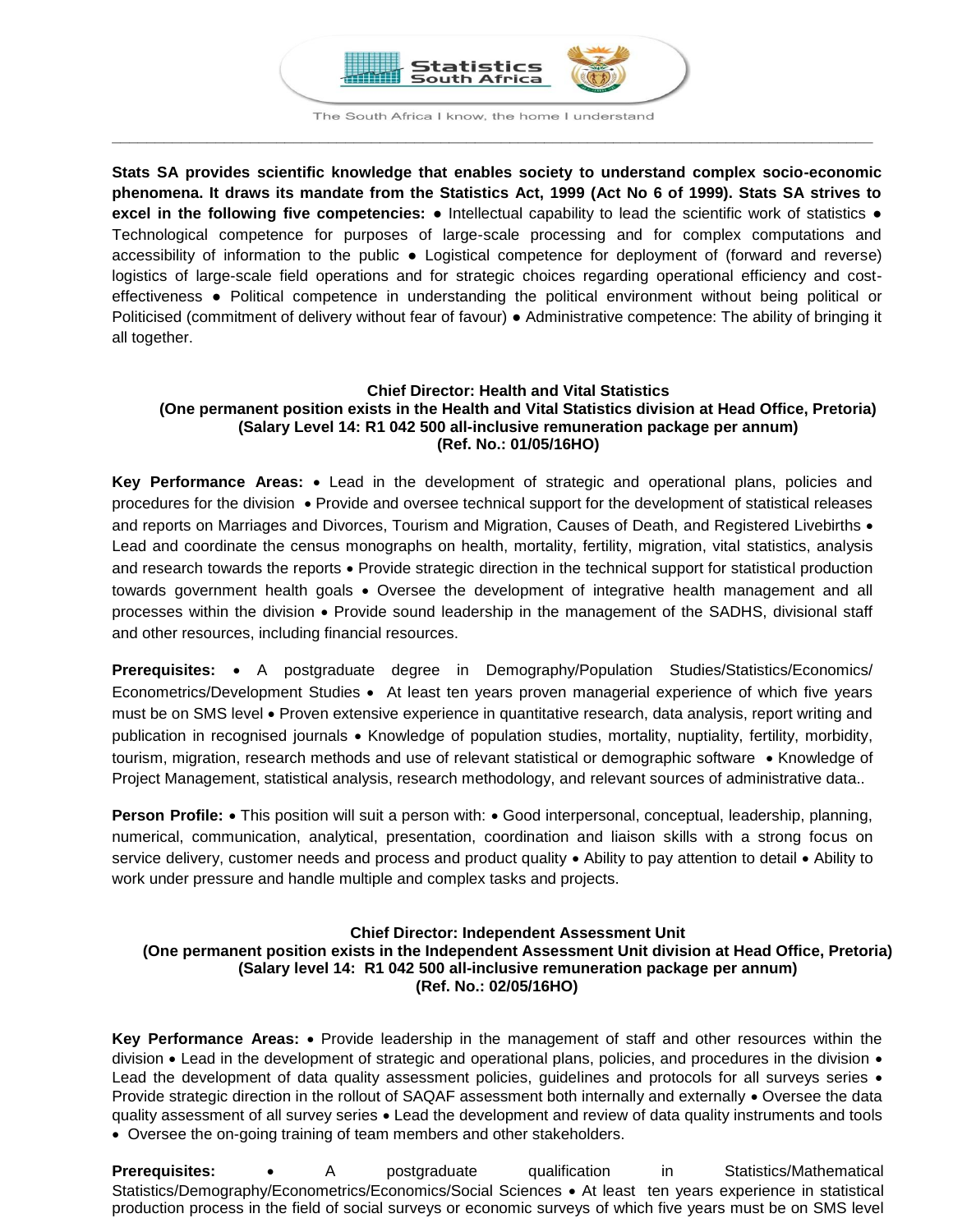

The South Africa I know, the home I understand **\_\_\_\_\_\_\_\_\_\_\_\_\_\_\_\_\_\_\_\_\_\_\_\_\_\_\_\_\_\_\_\_\_\_\_\_\_\_\_\_\_\_\_\_\_\_\_\_\_\_\_\_\_\_\_\_\_\_\_\_\_\_\_\_\_\_\_\_\_\_\_\_\_\_\_\_\_\_\_\_\_\_\_\_\_\_\_\_**

**Stats SA provides scientific knowledge that enables society to understand complex socio-economic phenomena. It draws its mandate from the Statistics Act, 1999 (Act No 6 of 1999). Stats SA strives to excel in the following five competencies:** ● Intellectual capability to lead the scientific work of statistics ● Technological competence for purposes of large-scale processing and for complex computations and accessibility of information to the public ● Logistical competence for deployment of (forward and reverse) logistics of large-scale field operations and for strategic choices regarding operational efficiency and costeffectiveness ● Political competence in understanding the political environment without being political or Politicised (commitment of delivery without fear of favour) ● Administrative competence: The ability of bringing it all together.

### **Chief Director: Health and Vital Statistics (One permanent position exists in the Health and Vital Statistics division at Head Office, Pretoria) (Salary Level 14: R1 042 500 all-inclusive remuneration package per annum) (Ref. No.: 01/05/16HO)**

**Key Performance Areas:** Lead in the development of strategic and operational plans, policies and procedures for the division • Provide and oversee technical support for the development of statistical releases and reports on Marriages and Divorces, Tourism and Migration, Causes of Death, and Registered Livebirths • Lead and coordinate the census monographs on health, mortality, fertility, migration, vital statistics, analysis and research towards the reports  $\bullet$  Provide strategic direction in the technical support for statistical production towards government health goals . Oversee the development of integrative health management and all processes within the division Provide sound leadership in the management of the SADHS, divisional staff and other resources, including financial resources.

Prerequisites: • A postgraduate degree in Demography/Population Studies/Statistics/Economics/ Econometrics/Development Studies • At least ten years proven managerial experience of which five years must be on SMS level • Proven extensive experience in quantitative research, data analysis, report writing and publication in recognised journals • Knowledge of population studies, mortality, nuptiality, fertility, morbidity, tourism, migration, research methods and use of relevant statistical or demographic software • Knowledge of Project Management, statistical analysis, research methodology, and relevant sources of administrative data..

**Person Profile:** • This position will suit a person with: • Good interpersonal, conceptual, leadership, planning, numerical, communication, analytical, presentation, coordination and liaison skills with a strong focus on service delivery, customer needs and process and product quality  $\bullet$  Ability to pay attention to detail  $\bullet$  Ability to work under pressure and handle multiple and complex tasks and projects.

# **Chief Director: Independent Assessment Unit (One permanent position exists in the Independent Assessment Unit division at Head Office, Pretoria) (Salary level 14: R1 042 500 all-inclusive remuneration package per annum) (Ref. No.: 02/05/16HO)**

**Key Performance Areas:** Provide leadership in the management of staff and other resources within the division  $\bullet$  Lead in the development of strategic and operational plans, policies, and procedures in the division  $\bullet$ Lead the development of data quality assessment policies, guidelines and protocols for all surveys series • Provide strategic direction in the rollout of SAQAF assessment both internally and externally • Oversee the data quality assessment of all survey series Lead the development and review of data quality instruments and tools Oversee the on-going training of team members and other stakeholders.

**Prerequisites:** • A postgraduate qualification in Statistics/Mathematical Statistics/Demography/Econometrics/Economics/Social Sciences At least ten years experience in statistical production process in the field of social surveys or economic surveys of which five years must be on SMS level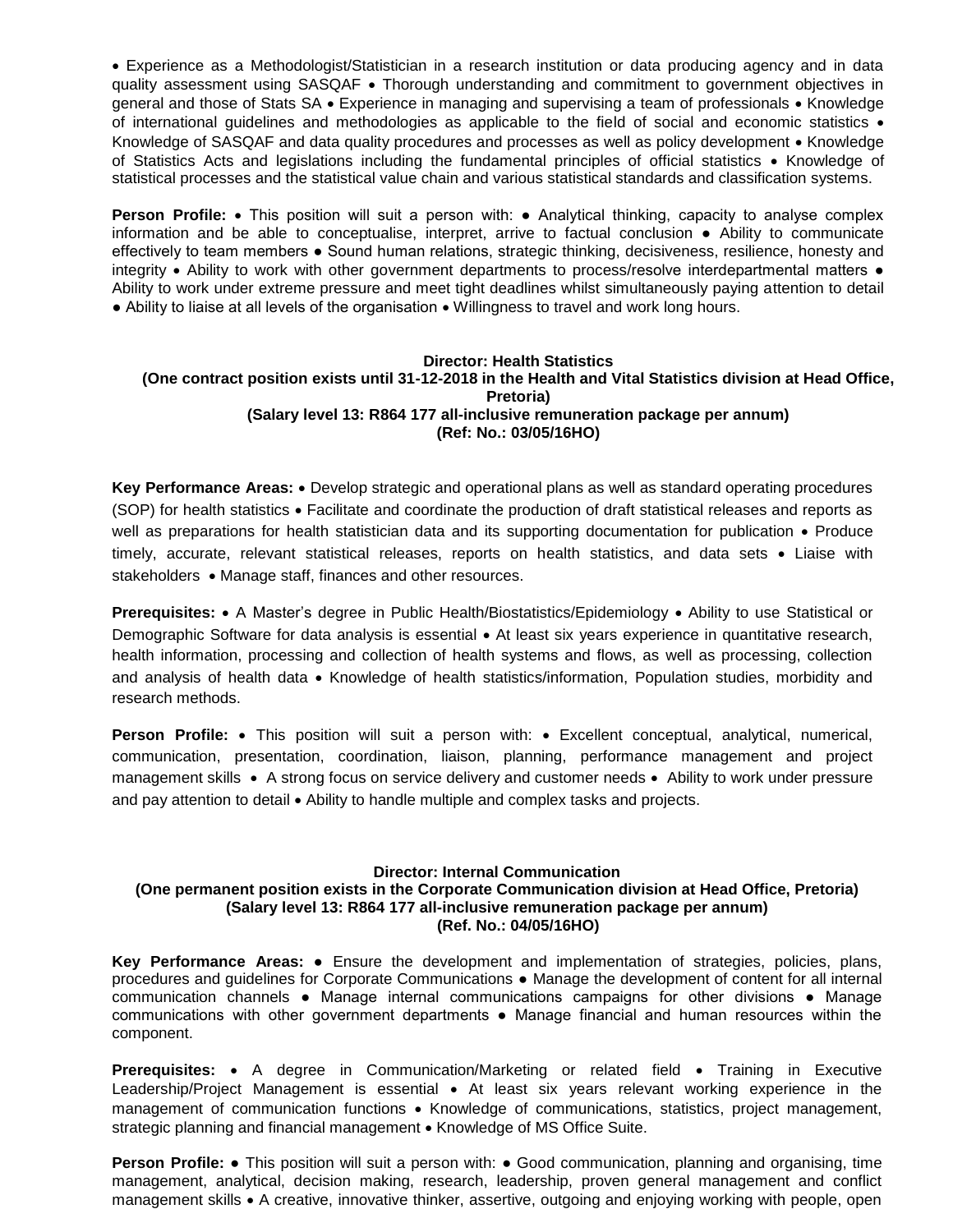Experience as a Methodologist/Statistician in a research institution or data producing agency and in data quality assessment using SASQAF . Thorough understanding and commitment to government objectives in general and those of Stats SA • Experience in managing and supervising a team of professionals • Knowledge of international guidelines and methodologies as applicable to the field of social and economic statistics Knowledge of SASQAF and data quality procedures and processes as well as policy development • Knowledge of Statistics Acts and legislations including the fundamental principles of official statistics  $\bullet$  Knowledge of statistical processes and the statistical value chain and various statistical standards and classification systems.

**Person Profile:** • This position will suit a person with: • Analytical thinking, capacity to analyse complex information and be able to conceptualise, interpret, arrive to factual conclusion ● Ability to communicate effectively to team members ● Sound human relations, strategic thinking, decisiveness, resilience, honesty and integrity • Ability to work with other government departments to process/resolve interdepartmental matters • Ability to work under extreme pressure and meet tight deadlines whilst simultaneously paying attention to detail • Ability to liaise at all levels of the organisation • Willingness to travel and work long hours.

### **Director: Health Statistics (One contract position exists until 31-12-2018 in the Health and Vital Statistics division at Head Office, Pretoria) (Salary level 13: R864 177 all-inclusive remuneration package per annum) (Ref: No.: 03/05/16HO)**

Key Performance Areas: • Develop strategic and operational plans as well as standard operating procedures (SOP) for health statistics Facilitate and coordinate the production of draft statistical releases and reports as well as preparations for health statistician data and its supporting documentation for publication • Produce timely, accurate, relevant statistical releases, reports on health statistics, and data sets • Liaise with stakeholders • Manage staff, finances and other resources.

**Prerequisites:** • A Master's degree in Public Health/Biostatistics/Epidemiology • Ability to use Statistical or Demographic Software for data analysis is essential • At least six years experience in quantitative research, health information, processing and collection of health systems and flows, as well as processing, collection and analysis of health data • Knowledge of health statistics/information, Population studies, morbidity and research methods.

**Person Profile:** • This position will suit a person with: • Excellent conceptual, analytical, numerical, communication, presentation, coordination, liaison, planning, performance management and project management skills • A strong focus on service delivery and customer needs • Ability to work under pressure and pay attention to detail  $\bullet$  Ability to handle multiple and complex tasks and projects.

# **Director: Internal Communication**

## **(One permanent position exists in the Corporate Communication division at Head Office, Pretoria) (Salary level 13: R864 177 all-inclusive remuneration package per annum) (Ref. No.: 04/05/16HO)**

**Key Performance Areas:** ● Ensure the development and implementation of strategies, policies, plans, procedures and guidelines for Corporate Communications **●** Manage the development of content for all internal communication channels ● Manage internal communications campaigns for other divisions ● Manage communications with other government departments ● Manage financial and human resources within the component.

**Prerequisites:** • A degree in Communication/Marketing or related field • Training in Executive Leadership/Project Management is essential • At least six years relevant working experience in the management of communication functions . Knowledge of communications, statistics, project management, strategic planning and financial management • Knowledge of MS Office Suite.

**Person Profile:** • This position will suit a person with: • Good communication, planning and organising, time management, analytical, decision making, research, leadership, proven general management and conflict management skills A creative, innovative thinker, assertive, outgoing and enjoying working with people, open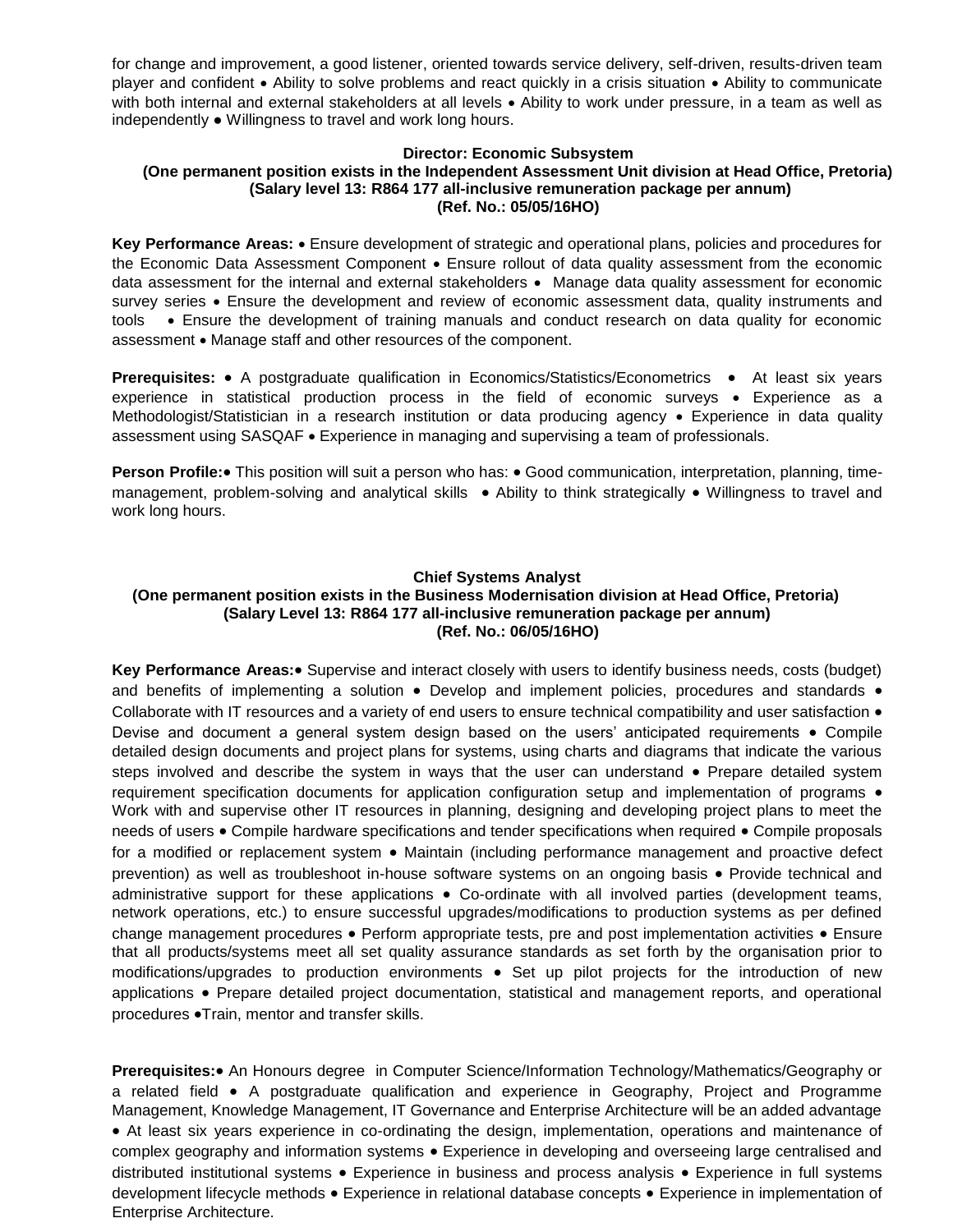for change and improvement, a good listener, oriented towards service delivery, self-driven, results-driven team player and confident Ability to solve problems and react quickly in a crisis situation Ability to communicate with both internal and external stakeholders at all levels • Ability to work under pressure, in a team as well as independently ● Willingness to travel and work long hours.

#### **Director: Economic Subsystem**

### **(One permanent position exists in the Independent Assessment Unit division at Head Office, Pretoria) (Salary level 13: R864 177 all-inclusive remuneration package per annum) (Ref. No.: 05/05/16HO)**

**Key Performance Areas:** Ensure development of strategic and operational plans, policies and procedures for the Economic Data Assessment Component • Ensure rollout of data quality assessment from the economic data assessment for the internal and external stakeholders • Manage data quality assessment for economic survey series • Ensure the development and review of economic assessment data, quality instruments and tools Ensure the development of training manuals and conduct research on data quality for economic assessment • Manage staff and other resources of the component.

**Prerequisites:** • A postgraduate qualification in Economics/Statistics/Econometrics • At least six years experience in statistical production process in the field of economic surveys • Experience as a Methodologist/Statistician in a research institution or data producing agency • Experience in data quality assessment using SASQAF Experience in managing and supervising a team of professionals.

**Person Profile:** This position will suit a person who has: • Good communication, interpretation, planning, timemanagement, problem-solving and analytical skills • Ability to think strategically • Willingness to travel and work long hours.

### **Chief Systems Analyst**

# **(One permanent position exists in the Business Modernisation division at Head Office, Pretoria) (Salary Level 13: R864 177 all-inclusive remuneration package per annum) (Ref. No.: 06/05/16HO)**

Key Performance Areas: • Supervise and interact closely with users to identify business needs, costs (budget) and benefits of implementing a solution • Develop and implement policies, procedures and standards • Collaborate with IT resources and a variety of end users to ensure technical compatibility and user satisfaction  $\bullet$ Devise and document a general system design based on the users' anticipated requirements • Compile detailed design documents and project plans for systems, using charts and diagrams that indicate the various steps involved and describe the system in ways that the user can understand • Prepare detailed system requirement specification documents for application configuration setup and implementation of programs  $\bullet$ Work with and supervise other IT resources in planning, designing and developing project plans to meet the needs of users • Compile hardware specifications and tender specifications when required • Compile proposals for a modified or replacement system • Maintain (including performance management and proactive defect prevention) as well as troubleshoot in-house software systems on an ongoing basis • Provide technical and administrative support for these applications • Co-ordinate with all involved parties (development teams, network operations, etc.) to ensure successful upgrades/modifications to production systems as per defined change management procedures • Perform appropriate tests, pre and post implementation activities • Ensure that all products/systems meet all set quality assurance standards as set forth by the organisation prior to modifications/upgrades to production environments • Set up pilot projects for the introduction of new applications • Prepare detailed project documentation, statistical and management reports, and operational procedures .Train, mentor and transfer skills.

**Prerequisites:** An Honours degree in Computer Science/Information Technology/Mathematics/Geography or a related field • A postgraduate qualification and experience in Geography, Project and Programme Management, Knowledge Management, IT Governance and Enterprise Architecture will be an added advantage At least six years experience in co-ordinating the design, implementation, operations and maintenance of complex geography and information systems • Experience in developing and overseeing large centralised and distributed institutional systems • Experience in business and process analysis • Experience in full systems development lifecycle methods • Experience in relational database concepts • Experience in implementation of Enterprise Architecture.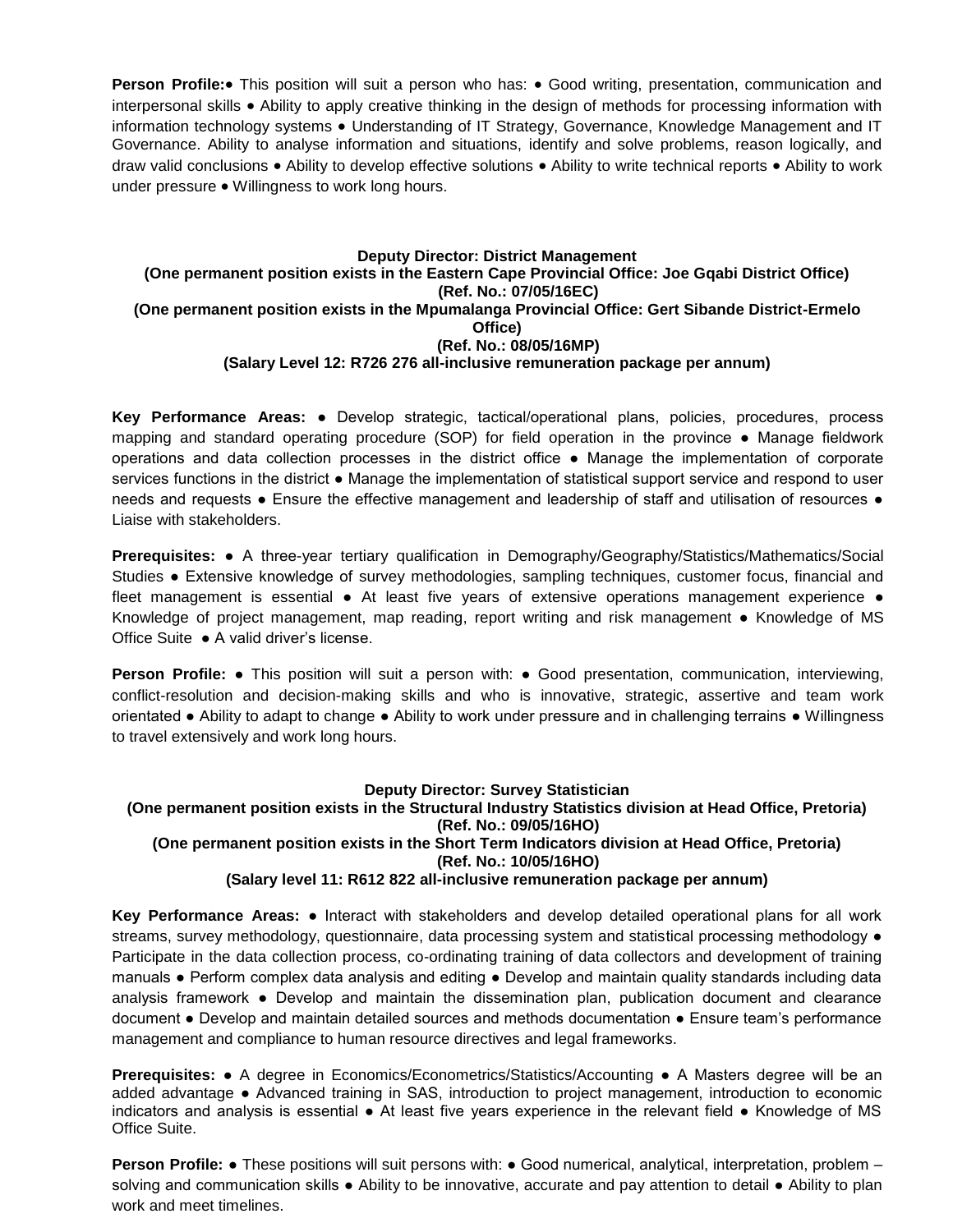**Person Profile:** This position will suit a person who has: • Good writing, presentation, communication and interpersonal skills Ability to apply creative thinking in the design of methods for processing information with information technology systems • Understanding of IT Strategy, Governance, Knowledge Management and IT Governance. Ability to analyse information and situations, identify and solve problems, reason logically, and draw valid conclusions • Ability to develop effective solutions • Ability to write technical reports • Ability to work under pressure • Willingness to work long hours.

#### **Deputy Director: District Management (One permanent position exists in the Eastern Cape Provincial Office: Joe Gqabi District Office) (Ref. No.: 07/05/16EC) (One permanent position exists in the Mpumalanga Provincial Office: Gert Sibande District-Ermelo Office) (Ref. No.: 08/05/16MP) (Salary Level 12: R726 276 all-inclusive remuneration package per annum)**

**Key Performance Areas:** ● Develop strategic, tactical/operational plans, policies, procedures, process mapping and standard operating procedure (SOP) for field operation in the province ● Manage fieldwork operations and data collection processes in the district office ● Manage the implementation of corporate services functions in the district ● Manage the implementation of statistical support service and respond to user needs and requests • Ensure the effective management and leadership of staff and utilisation of resources • Liaise with stakeholders.

**Prerequisites:** ● A three-year tertiary qualification in Demography/Geography/Statistics/Mathematics/Social Studies ● Extensive knowledge of survey methodologies, sampling techniques, customer focus, financial and fleet management is essential • At least five years of extensive operations management experience • Knowledge of project management, map reading, report writing and risk management ● Knowledge of MS Office Suite ● A valid driver's license.

**Person Profile: •** This position will suit a person with: • Good presentation, communication, interviewing, conflict-resolution and decision-making skills and who is innovative, strategic, assertive and team work orientated ● Ability to adapt to change ● Ability to work under pressure and in challenging terrains ● Willingness to travel extensively and work long hours.

### **Deputy Director: Survey Statistician**

### **(One permanent position exists in the Structural Industry Statistics division at Head Office, Pretoria) (Ref. No.: 09/05/16HO) (One permanent position exists in the Short Term Indicators division at Head Office, Pretoria) (Ref. No.: 10/05/16HO) (Salary level 11: R612 822 all-inclusive remuneration package per annum)**

**Key Performance Areas:** ● Interact with stakeholders and develop detailed operational plans for all work streams, survey methodology, questionnaire, data processing system and statistical processing methodology  $\bullet$ Participate in the data collection process, co-ordinating training of data collectors and development of training manuals ● Perform complex data analysis and editing ● Develop and maintain quality standards including data analysis framework ● Develop and maintain the dissemination plan, publication document and clearance document ● Develop and maintain detailed sources and methods documentation ● Ensure team's performance management and compliance to human resource directives and legal frameworks.

**Prerequisites: •** A degree in Economics/Econometrics/Statistics/Accounting • A Masters degree will be an added advantage ● Advanced training in SAS, introduction to project management, introduction to economic indicators and analysis is essential ● At least five years experience in the relevant field ● Knowledge of MS Office Suite.

**Person Profile: •** These positions will suit persons with: • Good numerical, analytical, interpretation, problem – solving and communication skills • Ability to be innovative, accurate and pay attention to detail • Ability to plan work and meet timelines.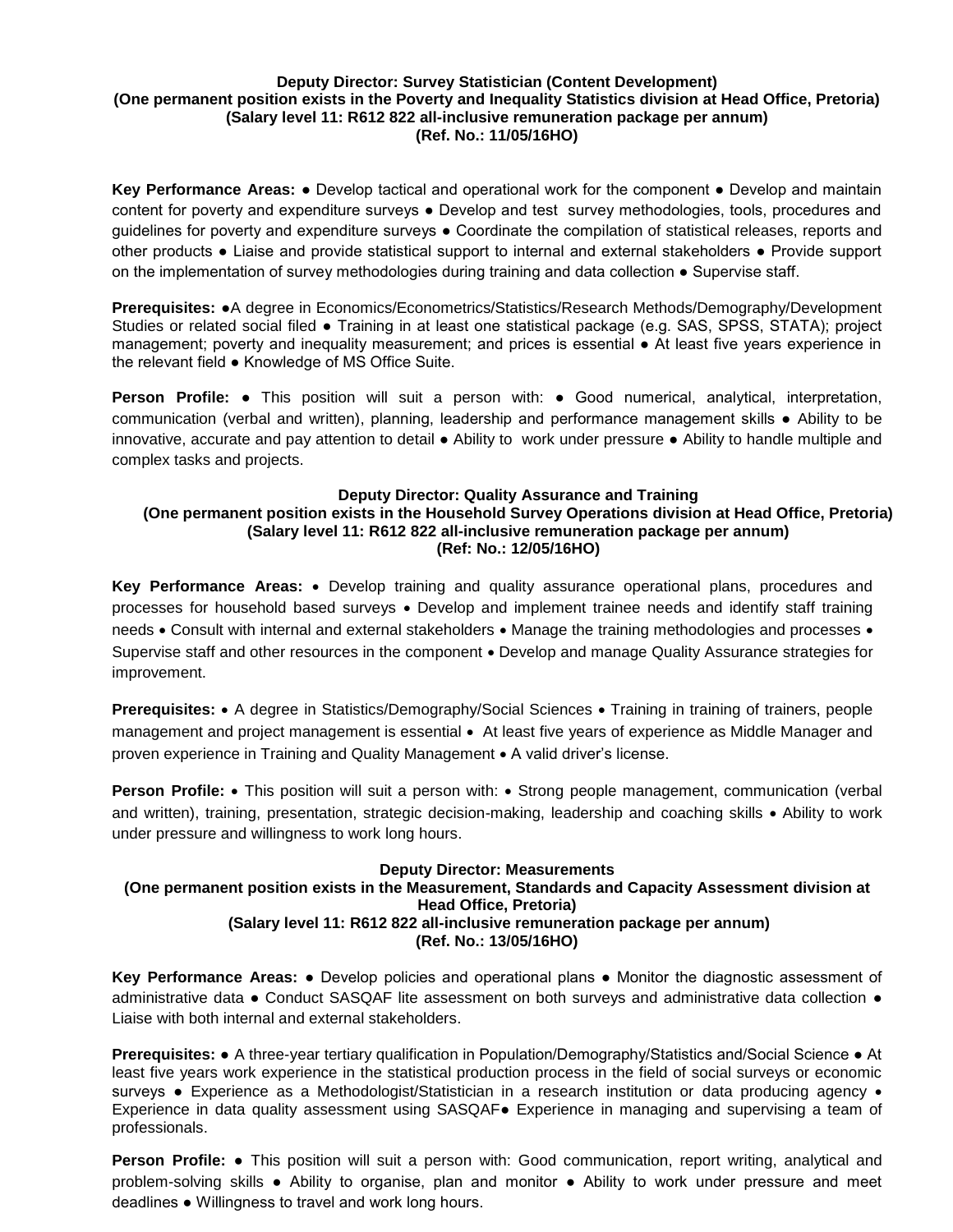## **Deputy Director: Survey Statistician (Content Development) (One permanent position exists in the Poverty and Inequality Statistics division at Head Office, Pretoria) (Salary level 11: R612 822 all-inclusive remuneration package per annum) (Ref. No.: 11/05/16HO)**

**Key Performance Areas:** ● Develop tactical and operational work for the component ● Develop and maintain content for poverty and expenditure surveys • Develop and test survey methodologies, tools, procedures and guidelines for poverty and expenditure surveys ● Coordinate the compilation of statistical releases, reports and other products ● Liaise and provide statistical support to internal and external stakeholders ● Provide support on the implementation of survey methodologies during training and data collection • Supervise staff.

**Prerequisites:** ●A degree in Economics/Econometrics/Statistics/Research Methods/Demography/Development Studies or related social filed ● Training in at least one statistical package (e.g. SAS, SPSS, STATA); project management; poverty and inequality measurement; and prices is essential ● At least five years experience in the relevant field ● Knowledge of MS Office Suite.

**Person Profile: ●** This position will suit a person with: ● Good numerical, analytical, interpretation, communication (verbal and written), planning, leadership and performance management skills ● Ability to be innovative, accurate and pay attention to detail ● Ability to work under pressure ● Ability to handle multiple and complex tasks and projects.

## **Deputy Director: Quality Assurance and Training (One permanent position exists in the Household Survey Operations division at Head Office, Pretoria) (Salary level 11: R612 822 all-inclusive remuneration package per annum) (Ref: No.: 12/05/16HO)**

**Key Performance Areas:** • Develop training and quality assurance operational plans, procedures and processes for household based surveys . Develop and implement trainee needs and identify staff training needs • Consult with internal and external stakeholders • Manage the training methodologies and processes • Supervise staff and other resources in the component  $\bullet$  Develop and manage Quality Assurance strategies for improvement.

**Prerequisites:** • A degree in Statistics/Demography/Social Sciences • Training in training of trainers, people management and project management is essential • At least five years of experience as Middle Manager and proven experience in Training and Quality Management • A valid driver's license.

**Person Profile:** • This position will suit a person with: • Strong people management, communication (verbal and written), training, presentation, strategic decision-making, leadership and coaching skills • Ability to work under pressure and willingness to work long hours.

## **Deputy Director: Measurements (One permanent position exists in the Measurement, Standards and Capacity Assessment division at Head Office, Pretoria) (Salary level 11: R612 822 all-inclusive remuneration package per annum) (Ref. No.: 13/05/16HO)**

**Key Performance Areas:** ● Develop policies and operational plans ● Monitor the diagnostic assessment of administrative data ● Conduct SASQAF lite assessment on both surveys and administrative data collection ● Liaise with both internal and external stakeholders.

**Prerequisites:** ● A three-year tertiary qualification in Population/Demography/Statistics and/Social Science ● At least five years work experience in the statistical production process in the field of social surveys or economic surveys • Experience as a Methodologist/Statistician in a research institution or data producing agency • Experience in data quality assessment using SASQAF● Experience in managing and supervising a team of professionals.

**Person Profile: ●** This position will suit a person with: Good communication, report writing, analytical and problem-solving skills ● Ability to organise, plan and monitor ● Ability to work under pressure and meet deadlines ● Willingness to travel and work long hours.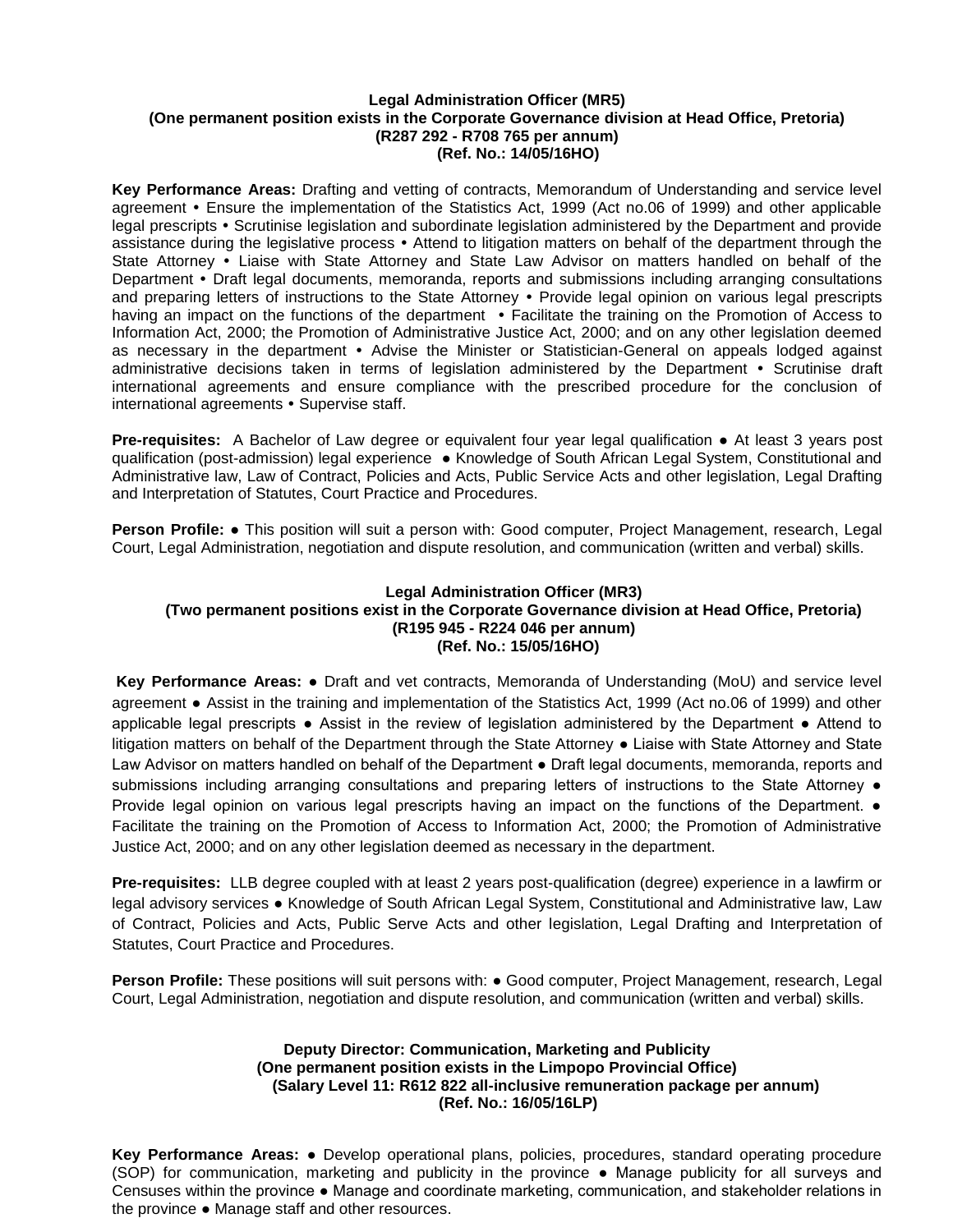#### **Legal Administration Officer (MR5) (One permanent position exists in the Corporate Governance division at Head Office, Pretoria) (R287 292 - R708 765 per annum) (Ref. No.: 14/05/16HO)**

**Key Performance Areas:** Drafting and vetting of contracts, Memorandum of Understanding and service level agreement Ensure the implementation of the Statistics Act, 1999 (Act no.06 of 1999) and other applicable legal prescripts • Scrutinise legislation and subordinate legislation administered by the Department and provide assistance during the legislative process • Attend to litigation matters on behalf of the department through the State Attorney • Liaise with State Attorney and State Law Advisor on matters handled on behalf of the Department • Draft legal documents, memoranda, reports and submissions including arranging consultations and preparing letters of instructions to the State Attorney • Provide legal opinion on various legal prescripts having an impact on the functions of the department • Facilitate the training on the Promotion of Access to Information Act, 2000; the Promotion of Administrative Justice Act, 2000; and on any other legislation deemed as necessary in the department • Advise the Minister or Statistician-General on appeals lodged against administrative decisions taken in terms of legislation administered by the Department • Scrutinise draft international agreements and ensure compliance with the prescribed procedure for the conclusion of international agreements • Supervise staff.

**Pre-requisites:** A Bachelor of Law degree or equivalent four year legal qualification ● At least 3 years post qualification (post-admission) legal experience ● Knowledge of South African Legal System, Constitutional and Administrative law, Law of Contract, Policies and Acts, Public Service Acts and other legislation, Legal Drafting and Interpretation of Statutes, Court Practice and Procedures.

**Person Profile:** ● This position will suit a person with: Good computer, Project Management, research, Legal Court, Legal Administration, negotiation and dispute resolution, and communication (written and verbal) skills.

# **Legal Administration Officer (MR3) (Two permanent positions exist in the Corporate Governance division at Head Office, Pretoria) (R195 945 - R224 046 per annum) (Ref. No.: 15/05/16HO)**

**Key Performance Areas:** ● Draft and vet contracts, Memoranda of Understanding (MoU) and service level agreement **●** Assist in the training and implementation of the Statistics Act, 1999 (Act no.06 of 1999) and other applicable legal prescripts ● Assist in the review of legislation administered by the Department ● Attend to litigation matters on behalf of the Department through the State Attorney ● Liaise with State Attorney and State Law Advisor on matters handled on behalf of the Department • Draft legal documents, memoranda, reports and submissions including arranging consultations and preparing letters of instructions to the State Attorney  $\bullet$ Provide legal opinion on various legal prescripts having an impact on the functions of the Department. ● Facilitate the training on the Promotion of Access to Information Act, 2000; the Promotion of Administrative Justice Act, 2000; and on any other legislation deemed as necessary in the department.

**Pre-requisites:** LLB degree coupled with at least 2 years post-qualification (degree) experience in a lawfirm or legal advisory services ● Knowledge of South African Legal System, Constitutional and Administrative law, Law of Contract, Policies and Acts, Public Serve Acts and other legislation, Legal Drafting and Interpretation of Statutes, Court Practice and Procedures.

**Person Profile:** These positions will suit persons with: ● Good computer, Project Management, research, Legal Court, Legal Administration, negotiation and dispute resolution, and communication (written and verbal) skills.

# **Deputy Director: Communication, Marketing and Publicity (One permanent position exists in the Limpopo Provincial Office) (Salary Level 11: R612 822 all-inclusive remuneration package per annum) (Ref. No.: 16/05/16LP)**

**Key Performance Areas:** ● Develop operational plans, policies, procedures, standard operating procedure (SOP) for communication, marketing and publicity in the province ● Manage publicity for all surveys and Censuses within the province ● Manage and coordinate marketing, communication, and stakeholder relations in the province ● Manage staff and other resources.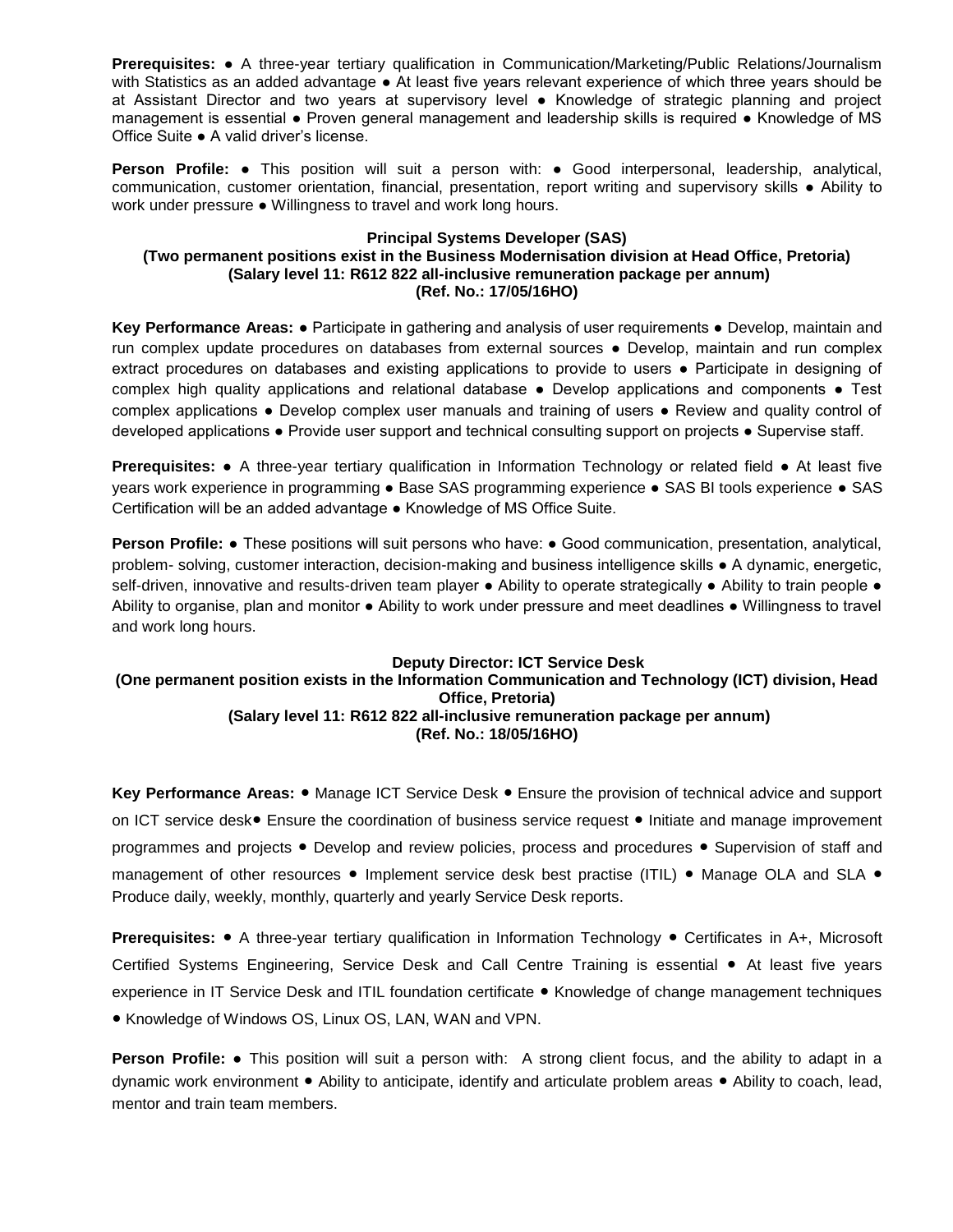**Prerequisites:** ● A three-year tertiary qualification in Communication/Marketing/Public Relations/Journalism with Statistics as an added advantage ● At least five years relevant experience of which three years should be at Assistant Director and two years at supervisory level ● Knowledge of strategic planning and project management is essential ● Proven general management and leadership skills is required ● Knowledge of MS Office Suite ● A valid driver's license.

**Person Profile:** ● This position will suit a person with: ● Good interpersonal, leadership, analytical, communication, customer orientation, financial, presentation, report writing and supervisory skills ● Ability to work under pressure ● Willingness to travel and work long hours.

### **Principal Systems Developer (SAS) (Two permanent positions exist in the Business Modernisation division at Head Office, Pretoria) (Salary level 11: R612 822 all-inclusive remuneration package per annum) (Ref. No.: 17/05/16HO)**

**Key Performance Areas:** ● Participate in gathering and analysis of user requirements ● Develop, maintain and run complex update procedures on databases from external sources ● Develop, maintain and run complex extract procedures on databases and existing applications to provide to users ● Participate in designing of complex high quality applications and relational database ● Develop applications and components ● Test complex applications ● Develop complex user manuals and training of users ● Review and quality control of developed applications ● Provide user support and technical consulting support on projects ● Supervise staff.

**Prerequisites:** • A three-year tertiary qualification in Information Technology or related field • At least five years work experience in programming **●** Base SAS programming experience **●** SAS BI tools experience **●** SAS Certification will be an added advantage ● Knowledge of MS Office Suite.

**Person Profile: •** These positions will suit persons who have: • Good communication, presentation, analytical, problem- solving, customer interaction, decision-making and business intelligence skills ● A dynamic, energetic, self-driven, innovative and results-driven team player • Ability to operate strategically • Ability to train people • Ability to organise, plan and monitor ● Ability to work under pressure and meet deadlines ● Willingness to travel and work long hours.

# **Deputy Director: ICT Service Desk (One permanent position exists in the Information Communication and Technology (ICT) division, Head Office, Pretoria) (Salary level 11: R612 822 all-inclusive remuneration package per annum) (Ref. No.: 18/05/16HO)**

**Key Performance Areas:** ● Manage ICT Service Desk ● Ensure the provision of technical advice and support on ICT service desk● Ensure the coordination of business service request ● Initiate and manage improvement programmes and projects ● Develop and review policies, process and procedures ● Supervision of staff and management of other resources ● Implement service desk best practise (ITIL) ● Manage OLA and SLA ● Produce daily, weekly, monthly, quarterly and yearly Service Desk reports.

**Prerequisites:** ● A three-year tertiary qualification in Information Technology ● Certificates in A+, Microsoft Certified Systems Engineering, Service Desk and Call Centre Training is essential ● At least five years experience in IT Service Desk and ITIL foundation certificate ● Knowledge of change management techniques ● Knowledge of Windows OS, Linux OS, LAN, WAN and VPN.

**Person Profile:** ● This position will suit a person with: A strong client focus, and the ability to adapt in a dynamic work environment ● Ability to anticipate, identify and articulate problem areas ● Ability to coach, lead, mentor and train team members.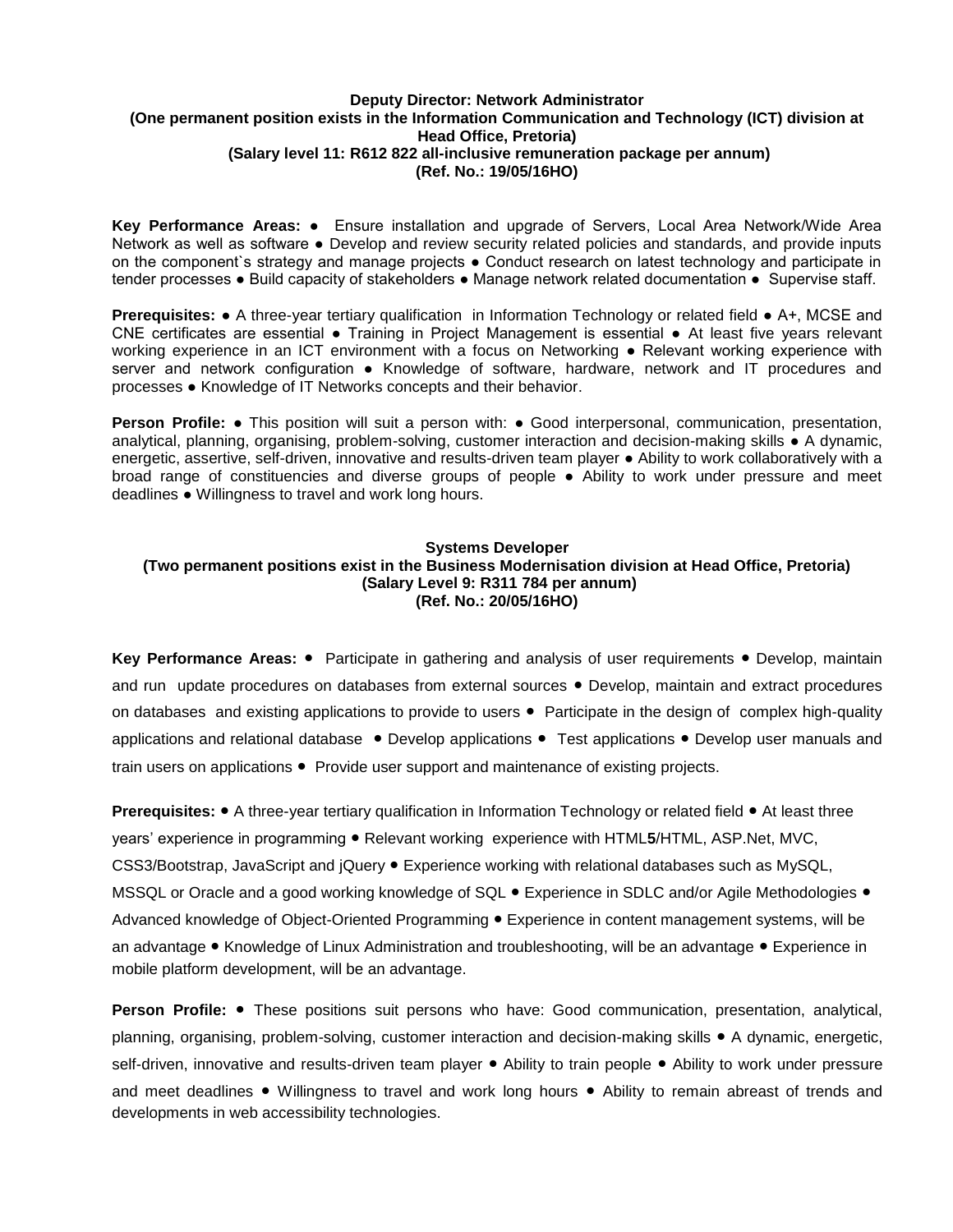## **Deputy Director: Network Administrator (One permanent position exists in the Information Communication and Technology (ICT) division at Head Office, Pretoria) (Salary level 11: R612 822 all-inclusive remuneration package per annum) (Ref. No.: 19/05/16HO)**

**Key Performance Areas:** ● Ensure installation and upgrade of Servers, Local Area Network/Wide Area Network as well as software ● Develop and review security related policies and standards, and provide inputs on the component`s strategy and manage projects ● Conduct research on latest technology and participate in tender processes ● Build capacity of stakeholders ● Manage network related documentation ● Supervise staff.

**Prerequisites: •** A three-year tertiary qualification in Information Technology or related field • A+, MCSE and CNE certificates are essential ● Training in Project Management is essential ● At least five years relevant working experience in an ICT environment with a focus on Networking ● Relevant working experience with server and network configuration ● Knowledge of software, hardware, network and IT procedures and processes ● Knowledge of IT Networks concepts and their behavior.

**Person Profile: •** This position will suit a person with: • Good interpersonal, communication, presentation, analytical, planning, organising, problem-solving, customer interaction and decision-making skills ● A dynamic, energetic, assertive, self-driven, innovative and results-driven team player ● Ability to work collaboratively with a broad range of constituencies and diverse groups of people ● Ability to work under pressure and meet deadlines ● Willingness to travel and work long hours.

# **Systems Developer (Two permanent positions exist in the Business Modernisation division at Head Office, Pretoria) (Salary Level 9: R311 784 per annum) (Ref. No.: 20/05/16HO)**

**Key Performance Areas:** ● Participate in gathering and analysis of user requirements ● Develop, maintain and run update procedures on databases from external sources ● Develop, maintain and extract procedures on databases and existing applications to provide to users ● Participate in the design of complex high-quality applications and relational database ● Develop applications ● Test applications ● Develop user manuals and train users on applications ● Provide user support and maintenance of existing projects.

**Prerequisites: ●** A three-year tertiary qualification in Information Technology or related field ● At least three years' experience in programming ● Relevant working experience with HTML**5**/HTML, ASP.Net, MVC, CSS3/Bootstrap, JavaScript and jQuery ● Experience working with relational databases such as MySQL, MSSQL or Oracle and a good working knowledge of SQL ● Experience in SDLC and/or Agile Methodologies ● Advanced knowledge of Object-Oriented Programming ● Experience in content management systems, will be an advantage ● Knowledge of Linux Administration and troubleshooting, will be an advantage ● Experience in mobile platform development, will be an advantage.

**Person Profile: ●** These positions suit persons who have: Good communication, presentation, analytical, planning, organising, problem-solving, customer interaction and decision-making skills ● A dynamic, energetic, self-driven, innovative and results-driven team player ● Ability to train people ● Ability to work under pressure and meet deadlines ● Willingness to travel and work long hours ● Ability to remain abreast of trends and developments in web accessibility technologies.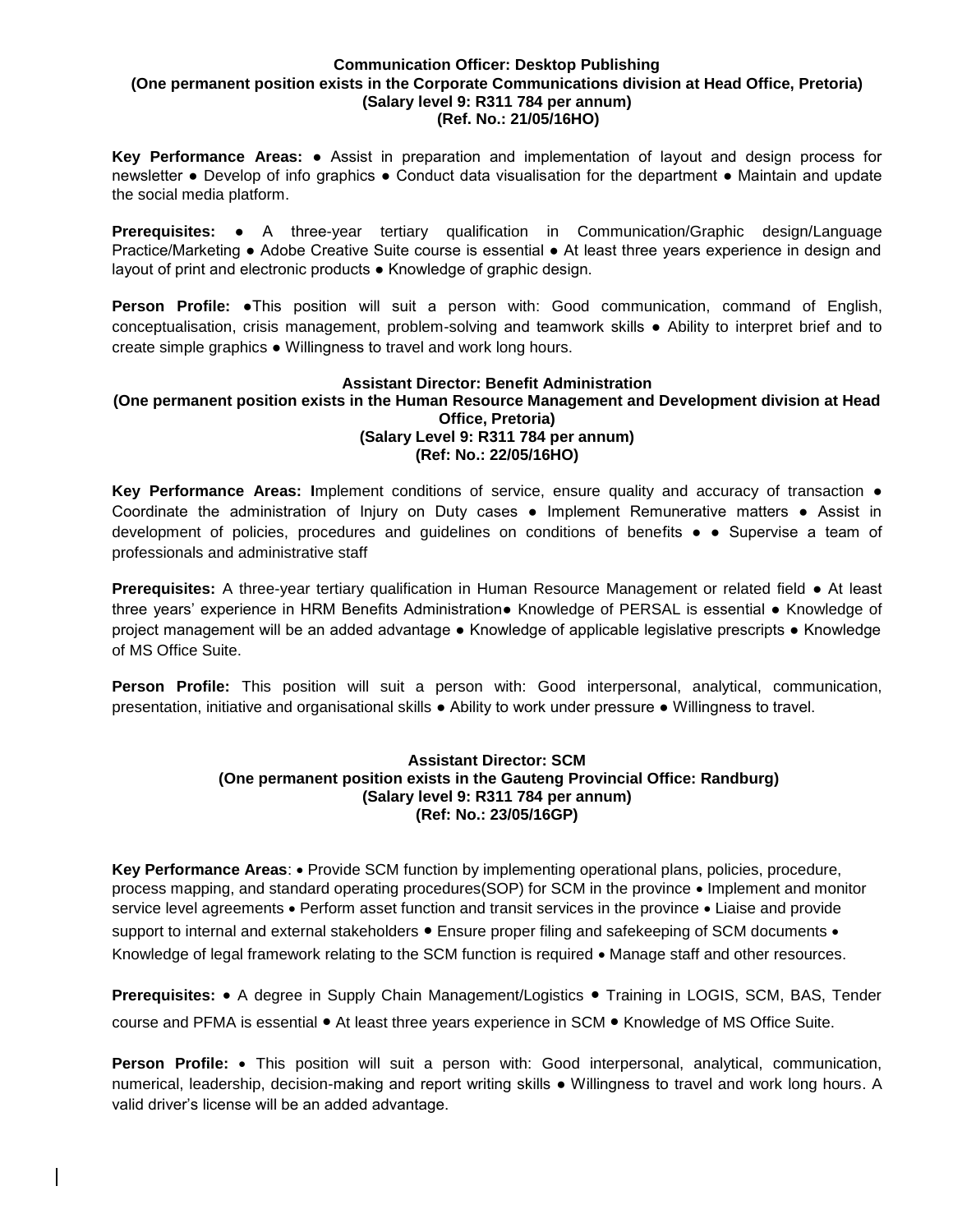#### **Communication Officer: Desktop Publishing (One permanent position exists in the Corporate Communications division at Head Office, Pretoria) (Salary level 9: R311 784 per annum) (Ref. No.: 21/05/16HO)**

**Key Performance Areas:** ● Assist in preparation and implementation of layout and design process for newsletter ● Develop of info graphics ● Conduct data visualisation for the department ● Maintain and update the social media platform.

**Prerequisites:** ● A three-year tertiary qualification in Communication/Graphic design/Language Practice/Marketing ● Adobe Creative Suite course is essential ● At least three years experience in design and layout of print and electronic products ● Knowledge of graphic design.

**Person Profile:** ●This position will suit a person with: Good communication, command of English, conceptualisation, crisis management, problem-solving and teamwork skills ● Ability to interpret brief and to create simple graphics ● Willingness to travel and work long hours.

# **Assistant Director: Benefit Administration**

#### **(One permanent position exists in the Human Resource Management and Development division at Head Office, Pretoria) (Salary Level 9: R311 784 per annum) (Ref: No.: 22/05/16HO)**

**Key Performance Areas: I**mplement conditions of service, ensure quality and accuracy of transaction ● Coordinate the administration of Injury on Duty cases ● Implement Remunerative matters ● Assist in development of policies, procedures and guidelines on conditions of benefits ● ● Supervise a team of professionals and administrative staff

**Prerequisites:** A three-year tertiary qualification in Human Resource Management or related field ● At least three years' experience in HRM Benefits Administration● Knowledge of PERSAL is essential ● Knowledge of project management will be an added advantage ● Knowledge of applicable legislative prescripts ● Knowledge of MS Office Suite.

**Person Profile:** This position will suit a person with: Good interpersonal, analytical, communication, presentation, initiative and organisational skills ● Ability to work under pressure ● Willingness to travel.

### **Assistant Director: SCM (One permanent position exists in the Gauteng Provincial Office: Randburg) (Salary level 9: R311 784 per annum) (Ref: No.: 23/05/16GP)**

**Key Performance Areas: •** Provide SCM function by implementing operational plans, policies, procedure, process mapping, and standard operating procedures(SOP) for SCM in the province  $\bullet$  Implement and monitor service level agreements • Perform asset function and transit services in the province • Liaise and provide support to internal and external stakeholders . Ensure proper filing and safekeeping of SCM documents . Knowledge of legal framework relating to the SCM function is required • Manage staff and other resources.

**Prerequisites:** A degree in Supply Chain Management/Logistics ● Training in LOGIS, SCM, BAS, Tender course and PFMA is essential ● At least three years experience in SCM ● Knowledge of MS Office Suite.

**Person Profile:** • This position will suit a person with: Good interpersonal, analytical, communication, numerical, leadership, decision-making and report writing skills ● Willingness to travel and work long hours. A valid driver's license will be an added advantage.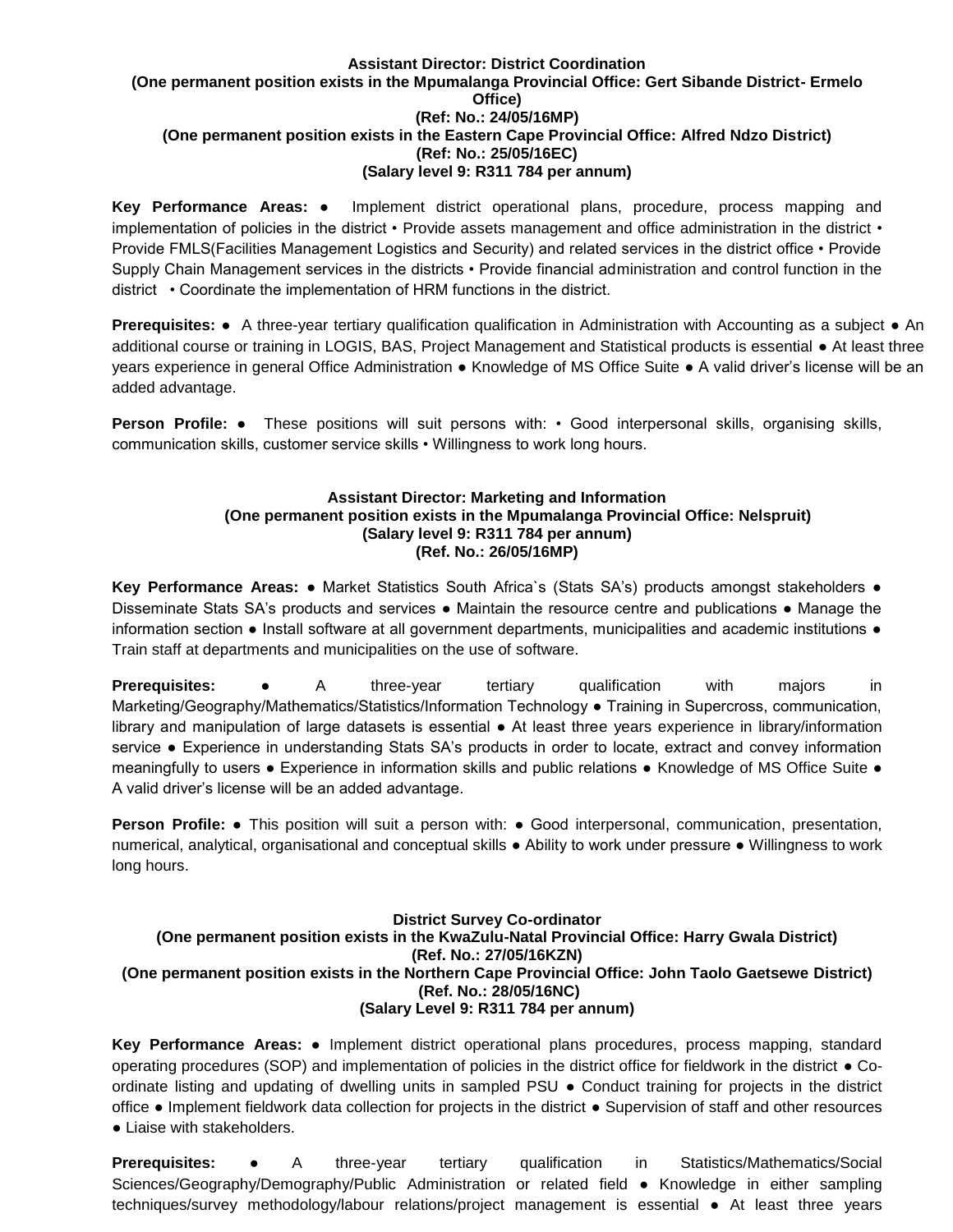#### **Assistant Director: District Coordination (One permanent position exists in the Mpumalanga Provincial Office: Gert Sibande District- Ermelo Office) (Ref: No.: 24/05/16MP) (One permanent position exists in the Eastern Cape Provincial Office: Alfred Ndzo District) (Ref: No.: 25/05/16EC) (Salary level 9: R311 784 per annum)**

**Key Performance Areas:** ● Implement district operational plans, procedure, process mapping and implementation of policies in the district • Provide assets management and office administration in the district • Provide FMLS(Facilities Management Logistics and Security) and related services in the district office • Provide Supply Chain Management services in the districts • Provide financial administration and control function in the district • Coordinate the implementation of HRM functions in the district.

**Prerequisites:** ● A three-year tertiary qualification qualification in Administration with Accounting as a subject ● An additional course or training in LOGIS, BAS, Project Management and Statistical products is essential ● At least three years experience in general Office Administration ● Knowledge of MS Office Suite ● A valid driver's license will be an added advantage.

**Person Profile:** • These positions will suit persons with: • Good interpersonal skills, organising skills, communication skills, customer service skills • Willingness to work long hours.

# **Assistant Director: Marketing and Information (One permanent position exists in the Mpumalanga Provincial Office: Nelspruit) (Salary level 9: R311 784 per annum) (Ref. No.: 26/05/16MP)**

**Key Performance Areas:** ● Market Statistics South Africa`s (Stats SA's) products amongst stakeholders ● Disseminate Stats SA's products and services ● Maintain the resource centre and publications ● Manage the information section ● Install software at all government departments, municipalities and academic institutions ● Train staff at departments and municipalities on the use of software.

**Prerequisites:** • A three-year tertiary qualification with majors in Marketing/Geography/Mathematics/Statistics/Information Technology ● Training in Supercross, communication, library and manipulation of large datasets is essential ● At least three years experience in library/information service • Experience in understanding Stats SA's products in order to locate, extract and convey information meaningfully to users ● Experience in information skills and public relations ● Knowledge of MS Office Suite ● A valid driver's license will be an added advantage.

**Person Profile:** • This position will suit a person with: • Good interpersonal, communication, presentation, numerical, analytical, organisational and conceptual skills ● Ability to work under pressure ● Willingness to work long hours.

### **District Survey Co-ordinator (One permanent position exists in the KwaZulu-Natal Provincial Office: Harry Gwala District) (Ref. No.: 27/05/16KZN) (One permanent position exists in the Northern Cape Provincial Office: John Taolo Gaetsewe District) (Ref. No.: 28/05/16NC) (Salary Level 9: R311 784 per annum)**

**Key Performance Areas:** ● Implement district operational plans procedures, process mapping, standard operating procedures (SOP) and implementation of policies in the district office for fieldwork in the district ● Coordinate listing and updating of dwelling units in sampled PSU ● Conduct training for projects in the district office ● Implement fieldwork data collection for projects in the district ● Supervision of staff and other resources ● Liaise with stakeholders.

**Prerequisites:** ● A three-year tertiary qualification in Statistics/Mathematics/Social Sciences/Geography/Demography/Public Administration or related field ● Knowledge in either sampling techniques/survey methodology/labour relations/project management is essential ● At least three years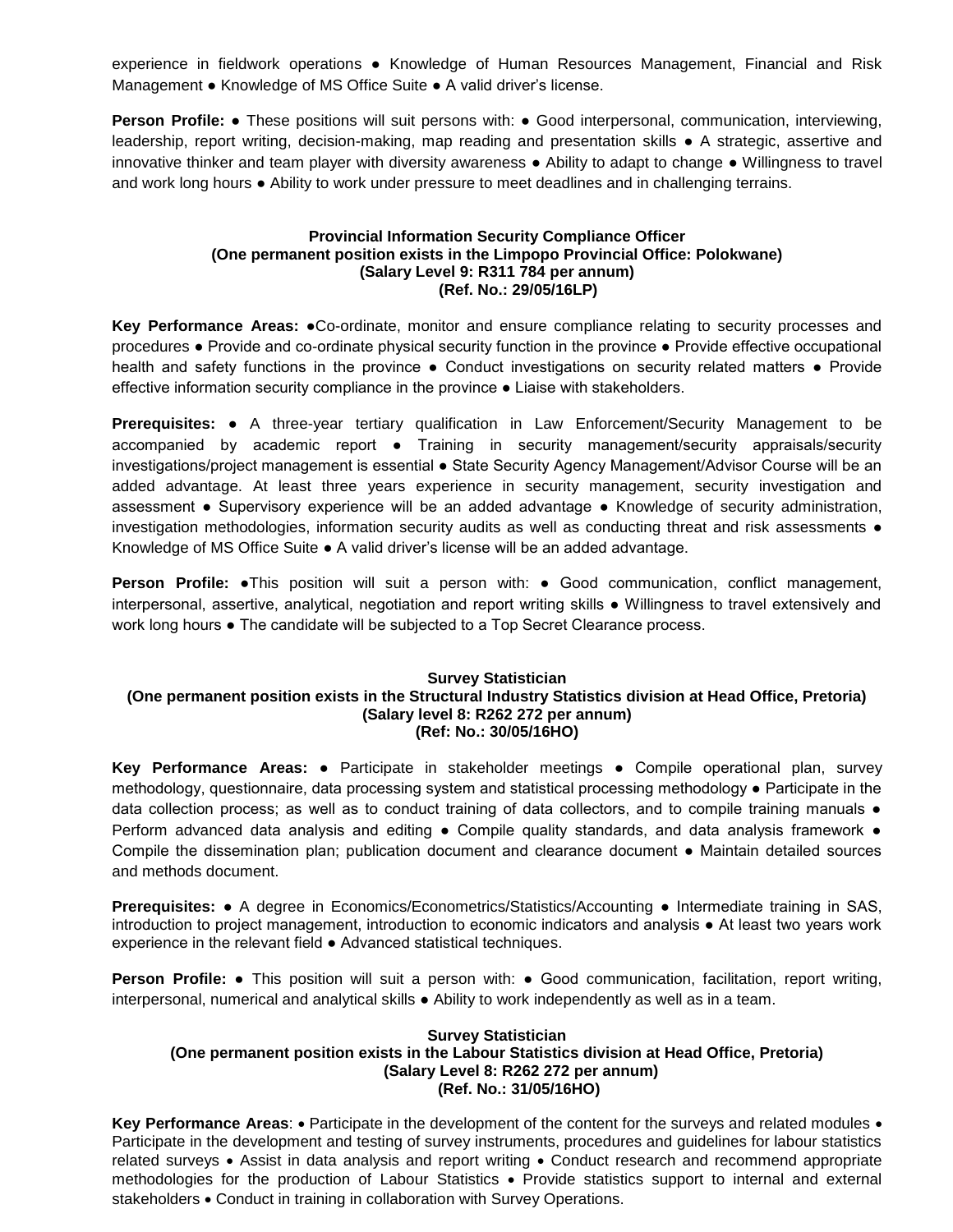experience in fieldwork operations ● Knowledge of Human Resources Management, Financial and Risk Management ● Knowledge of MS Office Suite ● A valid driver's license.

**Person Profile:** • These positions will suit persons with: • Good interpersonal, communication, interviewing, leadership, report writing, decision-making, map reading and presentation skills ● A strategic, assertive and innovative thinker and team player with diversity awareness ● Ability to adapt to change ● Willingness to travel and work long hours ● Ability to work under pressure to meet deadlines and in challenging terrains.

# **Provincial Information Security Compliance Officer (One permanent position exists in the Limpopo Provincial Office: Polokwane) (Salary Level 9: R311 784 per annum) (Ref. No.: 29/05/16LP)**

**Key Performance Areas:** ●Co-ordinate, monitor and ensure compliance relating to security processes and procedures ● Provide and co-ordinate physical security function in the province ● Provide effective occupational health and safety functions in the province • Conduct investigations on security related matters • Provide effective information security compliance in the province ● Liaise with stakeholders.

**Prerequisites:** ● A three-year tertiary qualification in Law Enforcement/Security Management to be accompanied by academic report · Training in security management/security appraisals/security investigations/project management is essential ● State Security Agency Management/Advisor Course will be an added advantage. At least three years experience in security management, security investigation and assessment ● Supervisory experience will be an added advantage ● Knowledge of security administration, investigation methodologies, information security audits as well as conducting threat and risk assessments ● Knowledge of MS Office Suite ● A valid driver's license will be an added advantage.

**Person Profile:** •This position will suit a person with: • Good communication, conflict management, interpersonal, assertive, analytical, negotiation and report writing skills ● Willingness to travel extensively and work long hours • The candidate will be subjected to a Top Secret Clearance process.

### **Survey Statistician (One permanent position exists in the Structural Industry Statistics division at Head Office, Pretoria) (Salary level 8: R262 272 per annum) (Ref: No.: 30/05/16HO)**

**Key Performance Areas:** ● Participate in stakeholder meetings ● Compile operational plan, survey methodology, questionnaire, data processing system and statistical processing methodology ● Participate in the data collection process; as well as to conduct training of data collectors, and to compile training manuals  $\bullet$ Perform advanced data analysis and editing • Compile quality standards, and data analysis framework • Compile the dissemination plan; publication document and clearance document ● Maintain detailed sources and methods document.

**Prerequisites: •** A degree in Economics/Econometrics/Statistics/Accounting • Intermediate training in SAS, introduction to project management, introduction to economic indicators and analysis ● At least two years work experience in the relevant field ● Advanced statistical techniques.

**Person Profile:** ● This position will suit a person with: ● Good communication, facilitation, report writing, interpersonal, numerical and analytical skills ● Ability to work independently as well as in a team.

# **Survey Statistician (One permanent position exists in the Labour Statistics division at Head Office, Pretoria) (Salary Level 8: R262 272 per annum) (Ref. No.: 31/05/16HO)**

Key Performance Areas: • Participate in the development of the content for the surveys and related modules • Participate in the development and testing of survey instruments, procedures and guidelines for labour statistics related surveys • Assist in data analysis and report writing • Conduct research and recommend appropriate methodologies for the production of Labour Statistics • Provide statistics support to internal and external stakeholders . Conduct in training in collaboration with Survey Operations.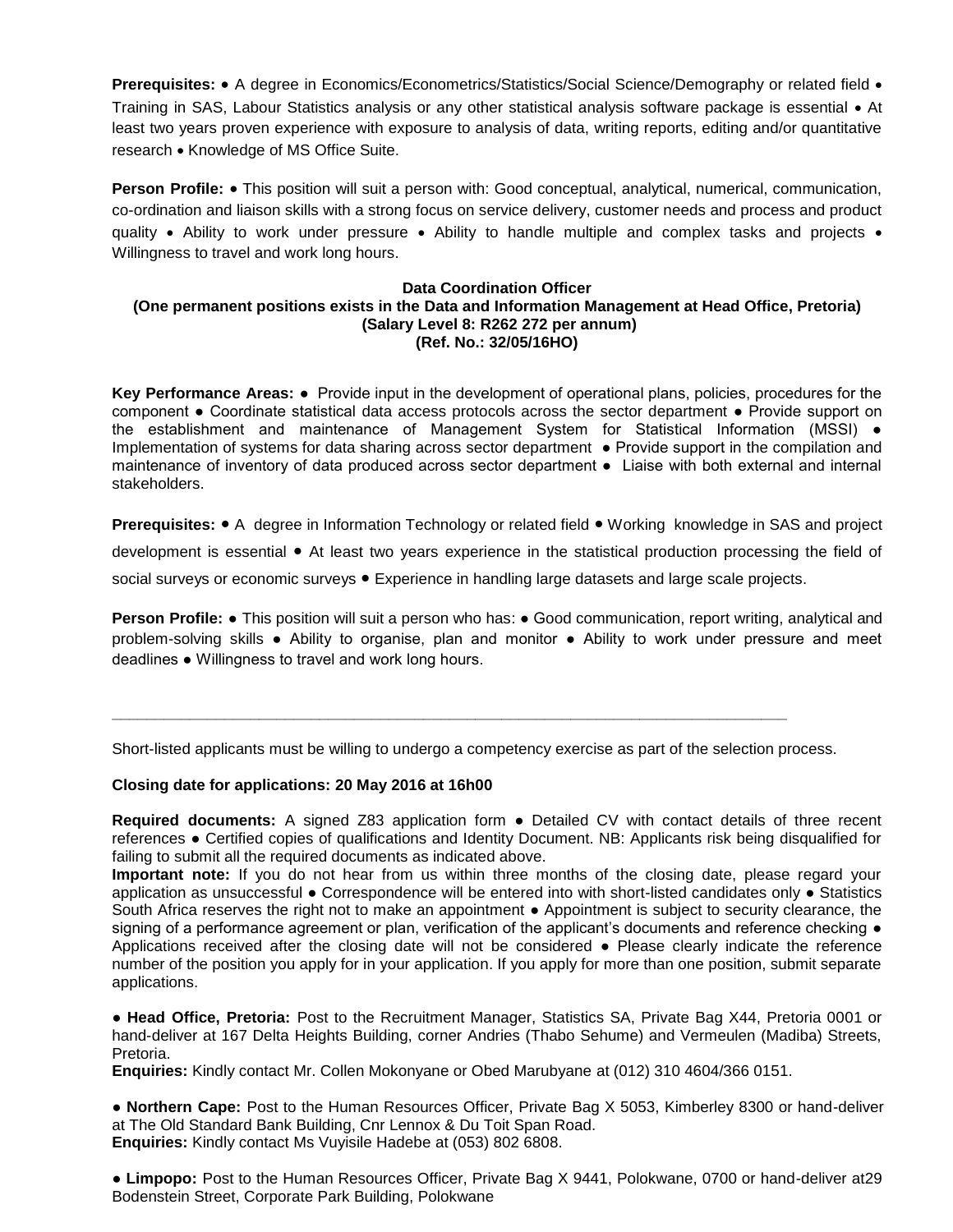**Prerequisites:** • A degree in Economics/Econometrics/Statistics/Social Science/Demography or related field • Training in SAS, Labour Statistics analysis or any other statistical analysis software package is essential • At least two years proven experience with exposure to analysis of data, writing reports, editing and/or quantitative research • Knowledge of MS Office Suite.

**Person Profile:** • This position will suit a person with: Good conceptual, analytical, numerical, communication, co-ordination and liaison skills with a strong focus on service delivery, customer needs and process and product quality  $\bullet$  Ability to work under pressure  $\bullet$  Ability to handle multiple and complex tasks and projects  $\bullet$ Willingness to travel and work long hours.

### **Data Coordination Officer (One permanent positions exists in the Data and Information Management at Head Office, Pretoria) (Salary Level 8: R262 272 per annum) (Ref. No.: 32/05/16HO)**

**Key Performance Areas:** ● Provide input in the development of operational plans, policies, procedures for the component ● Coordinate statistical data access protocols across the sector department ● Provide support on the establishment and maintenance of Management System for Statistical Information (MSSI) • Implementation of systems for data sharing across sector department ● Provide support in the compilation and maintenance of inventory of data produced across sector department ● Liaise with both external and internal stakeholders.

**Prerequisites: ●** A degree in Information Technology or related field ● Working knowledge in SAS and project development is essential ● At least two years experience in the statistical production processing the field of social surveys or economic surveys • Experience in handling large datasets and large scale projects.

**Person Profile: •** This position will suit a person who has: • Good communication, report writing, analytical and problem-solving skills ● Ability to organise, plan and monitor ● Ability to work under pressure and meet deadlines ● Willingness to travel and work long hours.

Short-listed applicants must be willing to undergo a competency exercise as part of the selection process.

**\_\_\_\_\_\_\_\_\_\_\_\_\_\_\_\_\_\_\_\_\_\_\_\_\_\_\_\_\_\_\_\_\_\_\_\_\_\_\_\_\_\_\_\_\_\_\_\_\_\_\_\_\_\_\_\_\_\_\_\_\_\_\_\_\_\_\_\_\_\_\_\_\_\_\_\_\_\_**

### **Closing date for applications: 20 May 2016 at 16h00**

**Required documents:** A signed Z83 application form ● Detailed CV with contact details of three recent references ● Certified copies of qualifications and Identity Document. NB: Applicants risk being disqualified for failing to submit all the required documents as indicated above.

**Important note:** If you do not hear from us within three months of the closing date, please regard your application as unsuccessful ● Correspondence will be entered into with short-listed candidates only ● Statistics South Africa reserves the right not to make an appointment ● Appointment is subject to security clearance, the signing of a performance agreement or plan, verification of the applicant's documents and reference checking  $\bullet$ Applications received after the closing date will not be considered ● Please clearly indicate the reference number of the position you apply for in your application. If you apply for more than one position, submit separate applications.

● **Head Office, Pretoria:** Post to the Recruitment Manager, Statistics SA, Private Bag X44, Pretoria 0001 or hand-deliver at 167 Delta Heights Building, corner Andries (Thabo Sehume) and Vermeulen (Madiba) Streets, Pretoria.

**Enquiries:** Kindly contact Mr. Collen Mokonyane or Obed Marubyane at (012) 310 4604/366 0151.

● **Northern Cape:** Post to the Human Resources Officer, Private Bag X 5053, Kimberley 8300 or hand-deliver at The Old Standard Bank Building, Cnr Lennox & Du Toit Span Road. **Enquiries:** Kindly contact Ms Vuyisile Hadebe at (053) 802 6808.

● **Limpopo:** Post to the Human Resources Officer, Private Bag X 9441, Polokwane, 0700 or hand-deliver at29 Bodenstein Street, Corporate Park Building, Polokwane